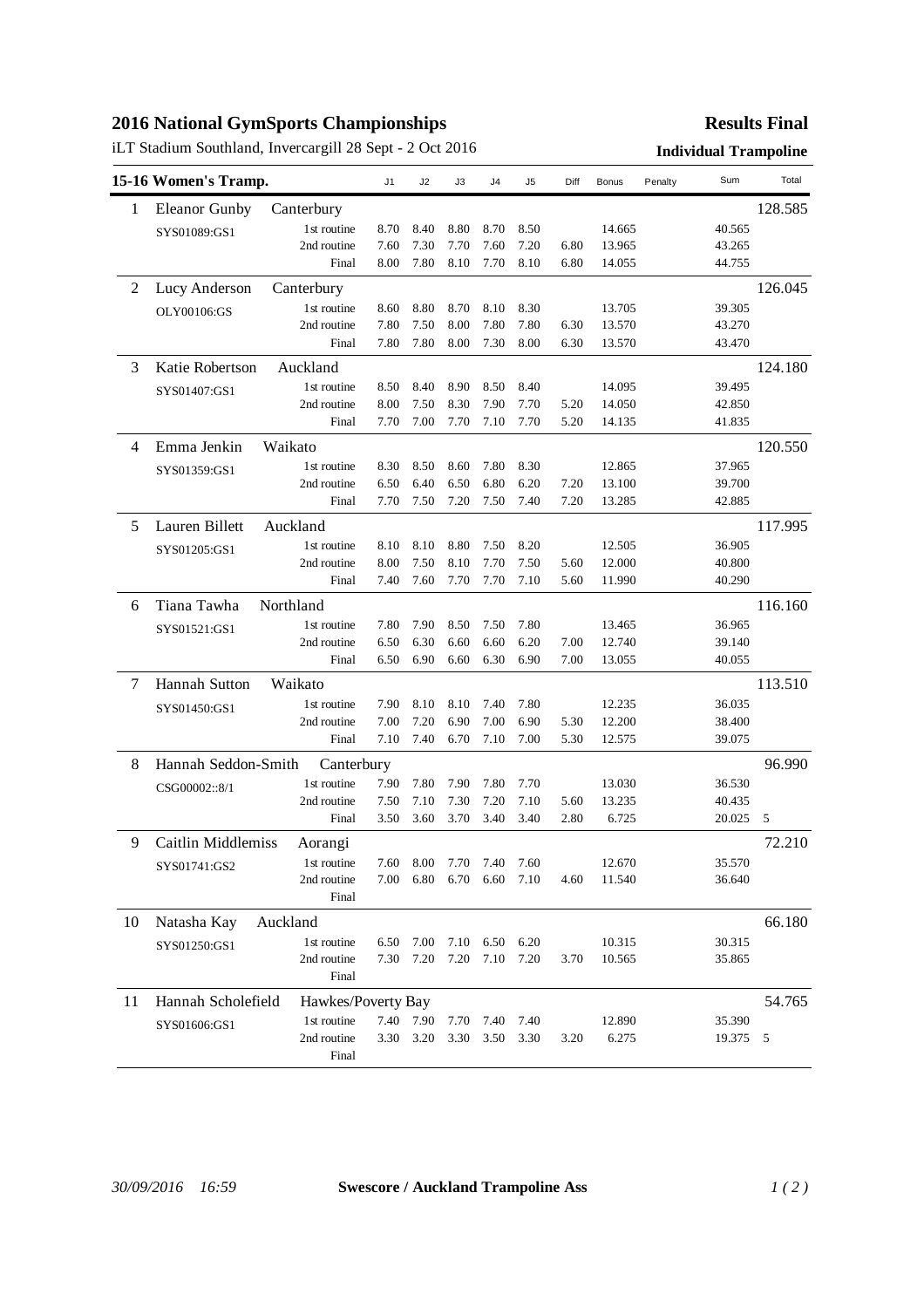## **2016 National GymSports Championships**

iLT Stadium Southland, Invercargill 28 Sept - 2 Oct 2016 **Individual Trampoline**

## **Results Final**

|                | 15-16 Women's Tramp.                     |             | J <sub>1</sub> | J <sub>2</sub> | J3   | J4   | J5   | Diff | Bonus  | Penalty | Sum    | Total   |
|----------------|------------------------------------------|-------------|----------------|----------------|------|------|------|------|--------|---------|--------|---------|
| 1              | <b>Eleanor Gunby</b>                     | Canterbury  |                |                |      |      |      |      |        |         |        | 128.585 |
|                | SYS01089:GS1                             | 1st routine | 8.70           | 8.40           | 8.80 | 8.70 | 8.50 |      | 14.665 |         | 40.565 |         |
|                |                                          | 2nd routine | 7.60           | 7.30           | 7.70 | 7.60 | 7.20 | 6.80 | 13.965 |         | 43.265 |         |
|                |                                          | Final       | 8.00           | 7.80           | 8.10 | 7.70 | 8.10 | 6.80 | 14.055 |         | 44.755 |         |
| $\overline{2}$ | Lucy Anderson                            | Canterbury  |                |                |      |      |      |      |        |         |        | 126.045 |
|                | OLY00106:GS                              | 1st routine | 8.60           | 8.80           | 8.70 | 8.10 | 8.30 |      | 13.705 |         | 39.305 |         |
|                |                                          | 2nd routine | 7.80           | 7.50           | 8.00 | 7.80 | 7.80 | 6.30 | 13.570 |         | 43.270 |         |
|                |                                          | Final       | 7.80           | 7.80           | 8.00 | 7.30 | 8.00 | 6.30 | 13.570 |         | 43.470 |         |
| 3              | Katie Robertson                          | Auckland    |                |                |      |      |      |      |        |         |        | 124.180 |
|                | SYS01407:GS1                             | 1st routine | 8.50           | 8.40           | 8.90 | 8.50 | 8.40 |      | 14.095 |         | 39.495 |         |
|                |                                          | 2nd routine | 8.00           | 7.50           | 8.30 | 7.90 | 7.70 | 5.20 | 14.050 |         | 42.850 |         |
|                |                                          | Final       | 7.70           | 7.00           | 7.70 | 7.10 | 7.70 | 5.20 | 14.135 |         | 41.835 |         |
| 4              | Emma Jenkin                              | Waikato     |                |                |      |      |      |      |        |         |        | 120.550 |
|                | SYS01359:GS1                             | 1st routine | 8.30           | 8.50           | 8.60 | 7.80 | 8.30 |      | 12.865 |         | 37.965 |         |
|                |                                          | 2nd routine | 6.50           | 6.40           | 6.50 | 6.80 | 6.20 | 7.20 | 13.100 |         | 39.700 |         |
|                |                                          | Final       | 7.70           | 7.50           | 7.20 | 7.50 | 7.40 | 7.20 | 13.285 |         | 42.885 |         |
| 5              | Lauren Billett                           | Auckland    |                |                |      |      |      |      |        |         |        | 117.995 |
|                | SYS01205:GS1                             | 1st routine | 8.10           | 8.10           | 8.80 | 7.50 | 8.20 |      | 12.505 |         | 36.905 |         |
|                |                                          | 2nd routine | 8.00           | 7.50           | 8.10 | 7.70 | 7.50 | 5.60 | 12.000 |         | 40.800 |         |
|                |                                          | Final       | 7.40           | 7.60           | 7.70 | 7.70 | 7.10 | 5.60 | 11.990 |         | 40.290 |         |
| 6              | Tiana Tawha                              | Northland   |                |                |      |      |      |      |        |         |        | 116.160 |
|                | SYS01521:GS1                             | 1st routine | 7.80           | 7.90           | 8.50 | 7.50 | 7.80 |      | 13.465 |         | 36.965 |         |
|                |                                          | 2nd routine | 6.50           | 6.30           | 6.60 | 6.60 | 6.20 | 7.00 | 12.740 |         | 39.140 |         |
|                |                                          | Final       | 6.50           | 6.90           | 6.60 | 6.30 | 6.90 | 7.00 | 13.055 |         | 40.055 |         |
| 7              | Hannah Sutton                            | Waikato     |                |                |      |      |      |      |        |         |        | 113.510 |
|                | SYS01450:GS1                             | 1st routine | 7.90           | 8.10           | 8.10 | 7.40 | 7.80 |      | 12.235 |         | 36.035 |         |
|                |                                          | 2nd routine | 7.00           | 7.20           | 6.90 | 7.00 | 6.90 | 5.30 | 12.200 |         | 38.400 |         |
|                |                                          | Final       | 7.10           | 7.40           | 6.70 | 7.10 | 7.00 | 5.30 | 12.575 |         | 39.075 |         |
| 8              | Hannah Seddon-Smith                      | Canterbury  |                |                |      |      |      |      |        |         | 96.990 |         |
|                | CSG00002::8/1                            | 1st routine | 7.90           | 7.80           | 7.90 | 7.80 | 7.70 |      | 13.030 |         | 36.530 |         |
|                |                                          | 2nd routine | 7.50           | 7.10           | 7.30 | 7.20 | 7.10 | 5.60 | 13.235 |         | 40.435 |         |
|                |                                          | Final       | 3.50           | 3.60           | 3.70 | 3.40 | 3.40 | 2.80 | 6.725  |         | 20.025 | 5       |
| 9              | Caitlin Middlemiss                       | Aorangi     |                |                |      |      |      |      |        |         |        | 72.210  |
|                | SYS01741:GS2                             | 1st routine | 7.60           | 8.00           | 7.70 | 7.40 | 7.60 |      | 12.670 |         | 35.570 |         |
|                |                                          | 2nd routine | 7.00           | 6.80           | 6.70 | 6.60 | 7.10 | 4.60 | 11.540 |         | 36.640 |         |
|                |                                          | Final       |                |                |      |      |      |      |        |         |        |         |
| 10             | Natasha Kay                              | Auckland    |                |                |      |      |      |      |        |         |        | 66.180  |
|                | SYS01250:GS1                             | 1st routine | 6.50           | 7.00           | 7.10 | 6.50 | 6.20 |      | 10.315 |         | 30.315 |         |
|                |                                          | 2nd routine | 7.30           | 7.20           | 7.20 | 7.10 | 7.20 | 3.70 | 10.565 |         | 35.865 |         |
|                |                                          | Final       |                |                |      |      |      |      |        |         |        |         |
| 11             | Hannah Scholefield<br>Hawkes/Poverty Bay |             |                |                |      |      |      |      |        |         |        | 54.765  |
|                | SYS01606:GS1                             | 1st routine |                | 7.40 7.90      | 7.70 | 7.40 | 7.40 |      | 12.890 |         | 35.390 |         |
|                |                                          | 2nd routine | 3.30           | 3.20           | 3.30 | 3.50 | 3.30 | 3.20 | 6.275  |         | 19.375 | -5      |
|                |                                          | Final       |                |                |      |      |      |      |        |         |        |         |